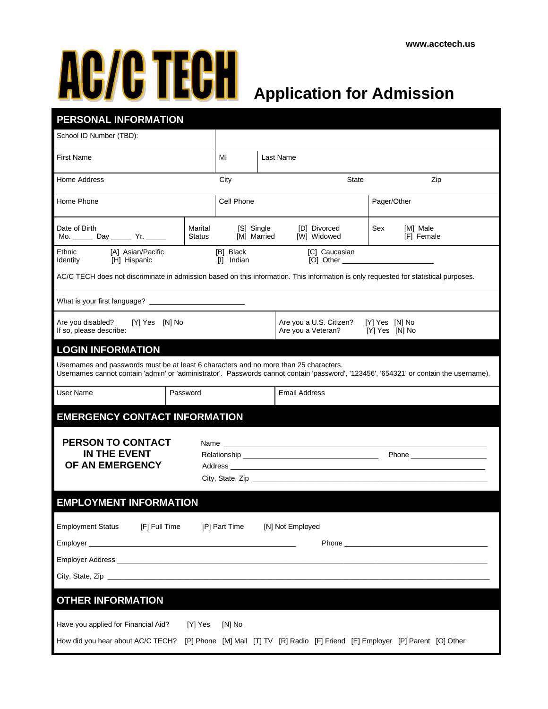## **Application for Admission**

| PERSONAL INFORMATION                                                                                                                                                                                                            |                          |                         |                                               |                                  |             |                         |  |
|---------------------------------------------------------------------------------------------------------------------------------------------------------------------------------------------------------------------------------|--------------------------|-------------------------|-----------------------------------------------|----------------------------------|-------------|-------------------------|--|
| School ID Number (TBD):                                                                                                                                                                                                         |                          |                         |                                               |                                  |             |                         |  |
| <b>First Name</b>                                                                                                                                                                                                               |                          | MI                      |                                               | Last Name                        |             |                         |  |
| Home Address                                                                                                                                                                                                                    |                          | City                    |                                               | <b>State</b>                     |             | Zip                     |  |
| Home Phone                                                                                                                                                                                                                      |                          | Cell Phone              |                                               |                                  | Pager/Other |                         |  |
| Date of Birth<br>Mo. _________ Day __________ Yr. _______                                                                                                                                                                       | Marital<br><b>Status</b> | [M] Married             | [S] Single                                    | [D] Divorced<br>[W] Widowed      | Sex         | [M] Male<br>[F] Female  |  |
| [A] Asian/Pacific<br>Ethnic<br>[H] Hispanic<br>Identity                                                                                                                                                                         |                          | [B] Black<br>[I] Indian |                                               | [C] Caucasian                    |             |                         |  |
| AC/C TECH does not discriminate in admission based on this information. This information is only requested for statistical purposes.                                                                                            |                          |                         |                                               |                                  |             |                         |  |
|                                                                                                                                                                                                                                 |                          |                         |                                               |                                  |             |                         |  |
| Are you disabled?<br>[Y] Yes [N] No<br>If so, please describe:                                                                                                                                                                  |                          |                         | Are you a U.S. Citizen?<br>Are you a Veteran? | [Y] Yes [N] No<br>[Y] Yes [N] No |             |                         |  |
| <b>LOGIN INFORMATION</b>                                                                                                                                                                                                        |                          |                         |                                               |                                  |             |                         |  |
| Usernames and passwords must be at least 6 characters and no more than 25 characters.<br>Usernames cannot contain 'admin' or 'administrator'. Passwords cannot contain 'password', '123456', '654321' or contain the username). |                          |                         |                                               |                                  |             |                         |  |
| User Name                                                                                                                                                                                                                       | Password                 |                         |                                               | <b>Email Address</b>             |             |                         |  |
| <b>EMERGENCY CONTACT INFORMATION</b>                                                                                                                                                                                            |                          |                         |                                               |                                  |             |                         |  |
| PERSON TO CONTACT<br><b>IN THE EVENT</b><br>OF AN EMERGENCY                                                                                                                                                                     |                          |                         |                                               |                                  |             |                         |  |
| <b>EMPLOYMENT INFORMATION</b>                                                                                                                                                                                                   |                          |                         |                                               |                                  |             |                         |  |
| <b>Employment Status</b><br>[F] Full Time                                                                                                                                                                                       |                          | [P] Part Time           |                                               | [N] Not Employed                 |             | Phone <b>Example 20</b> |  |
| <b>OTHER INFORMATION</b>                                                                                                                                                                                                        |                          |                         |                                               |                                  |             |                         |  |
|                                                                                                                                                                                                                                 |                          |                         |                                               |                                  |             |                         |  |
| Have you applied for Financial Aid?<br>How did you hear about AC/C TECH? [P] Phone [M] Mail [T] TV [R] Radio [F] Friend [E] Employer [P] Parent [O] Other                                                                       | [Y] Yes                  | [N] No                  |                                               |                                  |             |                         |  |